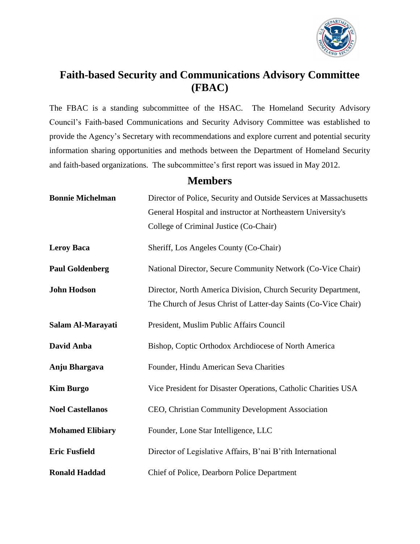

## **Faith-based Security and Communications Advisory Committee (FBAC)**

The FBAC is a standing subcommittee of the HSAC. The Homeland Security Advisory Council's Faith-based Communications and Security Advisory Committee was established to provide the Agency's Secretary with recommendations and explore current and potential security information sharing opportunities and methods between the Department of Homeland Security and faith-based organizations. The subcommittee's first report was issued in May 2012.

## **Members**

| <b>Bonnie Michelman</b> | Director of Police, Security and Outside Services at Massachusetts |
|-------------------------|--------------------------------------------------------------------|
|                         | General Hospital and instructor at Northeastern University's       |
|                         | College of Criminal Justice (Co-Chair)                             |
| <b>Leroy Baca</b>       | Sheriff, Los Angeles County (Co-Chair)                             |
| <b>Paul Goldenberg</b>  | National Director, Secure Community Network (Co-Vice Chair)        |
| <b>John Hodson</b>      | Director, North America Division, Church Security Department,      |
|                         | The Church of Jesus Christ of Latter-day Saints (Co-Vice Chair)    |
| Salam Al-Marayati       | President, Muslim Public Affairs Council                           |
| David Anba              | Bishop, Coptic Orthodox Archdiocese of North America               |
| Anju Bhargava           | Founder, Hindu American Seva Charities                             |
| <b>Kim Burgo</b>        | Vice President for Disaster Operations, Catholic Charities USA     |
| <b>Noel Castellanos</b> | CEO, Christian Community Development Association                   |
| <b>Mohamed Elibiary</b> | Founder, Lone Star Intelligence, LLC                               |
| <b>Eric Fusfield</b>    | Director of Legislative Affairs, B'nai B'rith International        |
| <b>Ronald Haddad</b>    | Chief of Police, Dearborn Police Department                        |